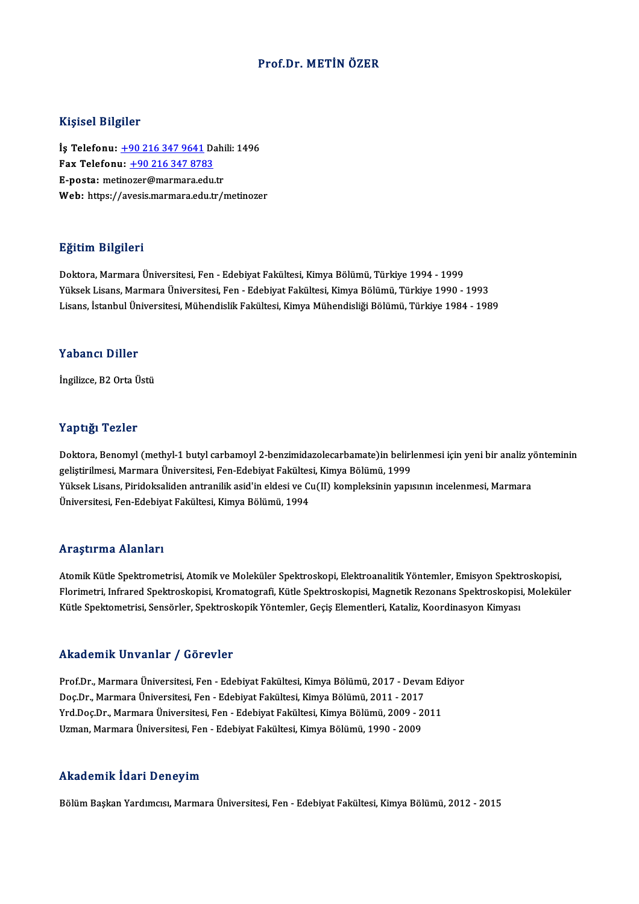### Prof.Dr.METİN ÖZER

#### Kişisel Bilgiler

Kişisel Bilgiler<br>İş Telefonu: <u>+90 216 347 9641</u> Dahili: 1496<br>Fax Telefonu: 190 216 247 9792 1133001 2115101<br>İş Telefonu: <u>+90 216 347 9641</u> Da<br>Fax Telefonu: <u>+90 216 347 8783</u> Fax Telefonu: +90 216 347 8783<br>E-posta: met[ino](tel:+90 216 347 9641)[zer@marmara.edu](tel:+90 216 347 8783).tr Web: https://avesis.marmara.edu.tr/metinozer

#### Eğitim Bilgileri

Doktora,MarmaraÜniversitesi,Fen-EdebiyatFakültesi,KimyaBölümü,Türkiye 1994 -1999 YüksekLisans,MarmaraÜniversitesi,Fen-EdebiyatFakültesi,KimyaBölümü,Türkiye 1990 -1993 Lisans, İstanbul Üniversitesi, Mühendislik Fakültesi, Kimya Mühendisliği Bölümü, Türkiye 1984 - 1989

#### Yabancı Diller

İngilizce, B2 Orta Üstü

### Yaptığı Tezler

Doktora, Benomyl (methyl-1 butyl carbamoyl 2-benzimidazolecarbamate)in belirlenmesi için yeni bir analiz yönteminin geliştirilmesi, Marmara Üniversitesi, Fen-Edebiyat Fakültesi, Kimya Bölümü, 1999 Doktora, Benomyl (methyl-1 butyl carbamoyl 2-benzimidazolecarbamate)in belirlenmesi için yeni bir analiz ye<br>geliştirilmesi, Marmara Üniversitesi, Fen-Edebiyat Fakültesi, Kimya Bölümü, 1999<br>Yüksek Lisans, Piridoksaliden ant geliştirilmesi, Marmara Üniversitesi, Fen-Edebiyat Fakültes<br>Yüksek Lisans, Piridoksaliden antranilik asid'in eldesi ve Cı<br>Üniversitesi, Fen-Edebiyat Fakültesi, Kimya Bölümü, 1994 Üniversitesi, Fen-Edebiyat Fakültesi, Kimya Bölümü, 1994<br>Araştırma Alanları

Araştırma Alanları<br>Atomik Kütle Spektrometrisi, Atomik ve Moleküler Spektroskopi, Elektroanalitik Yöntemler, Emisyon Spektroskopisi,<br>Elerimetri, Infrared Spektroskopisi, Krometografi, Kütle Spektroskopisi, Megnetik Beronan Florimetri, Infrared Spektroskopisi, Kromatografi, Kütle Spektroskopisi, Magnetik Rezonans Spektroskopisi, Moleküler<br>Kütle Spektometrisi, Sensörler, Spektroskopik Yöntemler, Geçiş Elementleri, Kataliz, Koordinasyon Kimyası Atomik Kütle Spektrometrisi, Atomik ve Moleküler Spektroskopi, Elektroanalitik Yöntemler, Emisyon Spektr<br>Florimetri, Infrared Spektroskopisi, Kromatografi, Kütle Spektroskopisi, Magnetik Rezonans Spektroskopisi<br>Kütle Spekt

### Akademik Unvanlar / Görevler

Prof.Dr., Marmara Üniversitesi, Fen - Edebiyat Fakültesi, Kimya Bölümü, 2017 - Devam Ediyor rındu olirin Sirvaniar 7 dərəvisi<br>Prof.Dr., Marmara Üniversitesi, Fen - Edebiyat Fakültesi, Kimya Bölümü, 2017 - Devai<br>Doç.Dr., Marmara Üniversitesi, Fen - Edebiyat Fakültesi, Kimya Bölümü, 2011 - 2017<br>Vrd Doc.Dr., Marmara Prof.Dr., Marmara Üniversitesi, Fen - Edebiyat Fakültesi, Kimya Bölümü, 2017 - Devam Ec<br>Doç.Dr., Marmara Üniversitesi, Fen - Edebiyat Fakültesi, Kimya Bölümü, 2011 - 2017<br>Yrd.Doç.Dr., Marmara Üniversitesi, Fen - Edebiyat F Doç.Dr., Marmara Üniversitesi, Fen - Edebiyat Fakültesi, Kimya Bölümü, 2011 - 2017<br>Yrd.Doç.Dr., Marmara Üniversitesi, Fen - Edebiyat Fakültesi, Kimya Bölümü, 2009 - 2<br>Uzman, Marmara Üniversitesi, Fen - Edebiyat Fakültesi, Uzman, Marmara Üniversitesi, Fen - Edebiyat Fakültesi, Kimya Bölümü, 1990 - 2009<br>Akademik İdari Deneyim

Bölüm Başkan Yardımcısı, Marmara Üniversitesi, Fen - Edebiyat Fakültesi, Kimya Bölümü, 2012 - 2015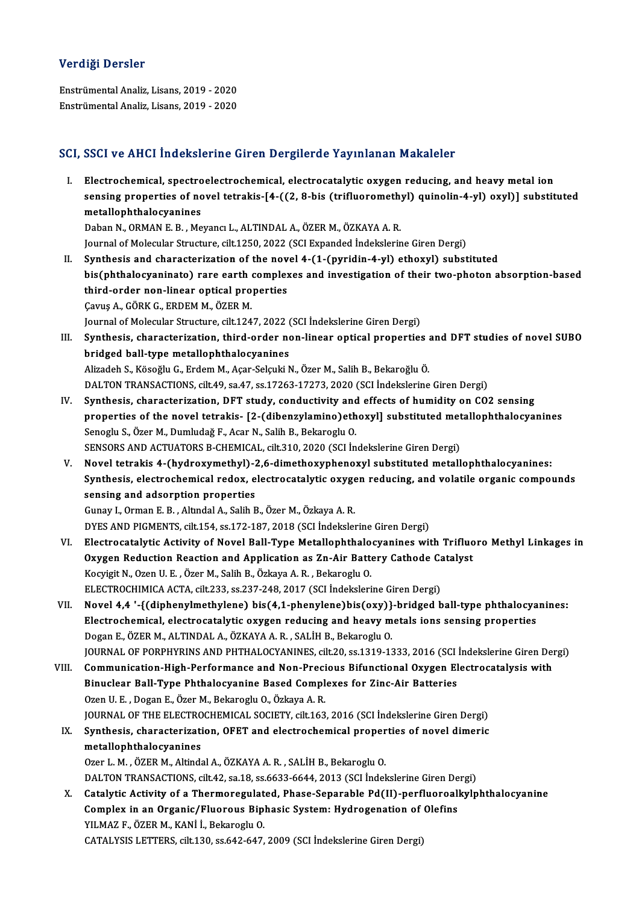# Verdiği Dersler

EnstrümentalAnaliz,Lisans,2019 -2020 Enstrümental Analiz, Lisans, 2019 - 2020

# SCI, SSCI ve AHCI İndekslerine Giren Dergilerde Yayınlanan Makaleler

I. Electrochemical, spectroelectrochemical, electrocatalytic oxygen reducing, and heavymetal ion seen ve finen indensiering en en evergiferae ray infanan franafeler<br>Electrochemical, spectroelectrochemical, electrocatalytic oxygen reducing, and heavy metal ion<br>sensing properties of novel tetrakis-[4-((2, 8-bis (trifluo Electrochemical, spectro<br>sensing properties of no<br>metallophthalocyanines<br>Paban N. OPMAN E B. Mo sensing properties of novel tetrakis-[4-((2, 8-bis (trifluorometh)<br>metallophthalocyanines<br>Daban N., ORMAN E. B. , Meyancı L., ALTINDAL A., ÖZER M., ÖZKAYA A. R.<br>Journal of Molocular Structure, silt 1250, 2022 (SCL Evnanded metallophthalocyanines<br>Daban N., ORMAN E. B. , Meyancı L., ALTINDAL A., ÖZER M., ÖZKAYA A. R.<br>Journal of Molecular Structure, cilt.1250, 2022 (SCI Expanded İndekslerine Giren Dergi)

- II. Synthesis and characterization of the novel  $4-(1-(pyridin-4-yl)$  ethoxyl) substituted Journal of Molecular Structure, cilt.1250, 2022 (SCI Expanded İndekslerine Giren Dergi)<br>Synthesis and characterization of the novel 4-(1-(pyridin-4-yl) ethoxyl) substituted<br>bis(phthalocyaninato) rare earth complexes and in Synthesis and characterization of the nov<br>bis(phthalocyaninato) rare earth complex<br>third-order non-linear optical properties<br>Cauus A. GÖRK C. ERDEM M. ÖZER M bis(phthalocyaninato) rare earth<br>third-order non-linear optical pro<br>Cavuş A., GÖRK G., ERDEM M., ÖZER M.<br>Journal of Malogular Structure, gilt 124 third-order non-linear optical properties<br>Çavuş A., GÖRK G., ERDEM M., ÖZER M.<br>Journal of Molecular Structure, cilt.1247, 2022 (SCI İndekslerine Giren Dergi)<br>Synthesis, sharasterization, third, order non-linear optical pro
- Cavuş A., GÖRK G., ERDEM M., ÖZER M.<br>Journal of Molecular Structure, cilt.1247, 2022 (SCI İndekslerine Giren Dergi)<br>III. Synthesis, characterization, third-order non-linear optical properties and DFT studies of novel SUBO<br> Journal of Molecular Structure, cilt.1247, 2022 (<br>Synthesis, characterization, third-order no<br>bridged ball-type metallophthalocyanines<br>Alizadeb S. Köseğlu G. Erdem M. Asar Sekulti N Alizadeh S., Kösoğlu G., Erdem M., Açar-Selçuki N., Özer M., Salih B., Bekaroğlu Ö. DALTON TRANSACTIONS, cilt.49, sa.47, ss.17263-17273, 2020 (SCI İndekslerine Giren Dergi)
- IV. Synthesis, characterization, DFT study, conductivity and effects of humidity on CO2 sensing DALTON TRANSACTIONS, cilt.49, sa.47, ss.17263-17273, 2020 (SCI İndekslerine Giren Dergi)<br>Synthesis, characterization, DFT study, conductivity and effects of humidity on CO2 sensing<br>properties of the novel tetrakis- [2-(dib Synthesis, characterization, DFT study, conductivity and<br>properties of the novel tetrakis- [2-(dibenzylamino)eth<br>Senoglu S., Özer M., Dumludağ F., Acar N., Salih B., Bekaroglu O.<br>SENSORS AND ACTUATORS B. CUEMICAL, silt 310 properties of the novel tetrakis- [2-(dibenzylamino)ethoxyl] substituted met<br>Senoglu S., Özer M., Dumludağ F., Acar N., Salih B., Bekaroglu O.<br>SENSORS AND ACTUATORS B-CHEMICAL, cilt.310, 2020 (SCI İndekslerine Giren Dergi) Senoglu S., Özer M., Dumludağ F., Acar N., Salih B., Bekaroglu O.<br>SENSORS AND ACTUATORS B-CHEMICAL, cilt.310, 2020 (SCI İndekslerine Giren Dergi)<br>V. Novel tetrakis 4-(hydroxymethyl)-2,6-dimethoxyphenoxyl substituted me
- SENSORS AND ACTUATORS B-CHEMICAL, cilt.310, 2020 (SCI İndekslerine Giren Dergi)<br>Novel tetrakis 4-(hydroxymethyl)-2,6-dimethoxyphenoxyl substituted metallophthalocyanines:<br>Synthesis, electrochemical redox, electrocatalytic Novel tetrakis 4-(hydroxymethyl)-2<br>Synthesis, electrochemical redox, e<br>sensing and adsorption properties Synthesis, electrochemical redox, electrocatalytic oxyge<br>sensing and adsorption properties<br>Gunay I., Orman E. B., Altındal A., Salih B., Özer M., Özkaya A. R.<br>DVES AND PICMENTS, silt 154, ss.172,197,2019 (SCL İndeksler sensing and adsorption properties<br>Gunay I., Orman E. B. , Altındal A., Salih B., Özer M., Özkaya A. R.<br>DYES AND PIGMENTS, cilt.154, ss.172-187, 2018 (SCI İndekslerine Giren Dergi)

- VI. Electrocatalytic Activity of Novel Ball-Type Metallophthalocyanines with Trifluoro Methyl Linkages in DYES AND PIGMENTS, cilt.154, ss.172-187, 2018 (SCI İndekslerine Giren Dergi)<br>Electrocatalytic Activity of Novel Ball-Type Metallophthalocyanines with Trifluo<br>Oxygen Reduction Reaction and Application as Zn-Air Battery Cath Electrocatalytic Activity of Novel Ball-Type Metallophthalo<br>Oxygen Reduction Reaction and Application as Zn-Air Batte<br>Kocyigit N., Ozen U. E. , Özer M., Salih B., Özkaya A. R. , Bekaroglu O.<br>ELECTROCHIMICA ACTA .cilt 222, Oxygen Reduction Reaction and Application as Zn-Air Battery Cathode Ca<br>Kocyigit N., Ozen U. E. , Özer M., Salih B., Özkaya A. R. , Bekaroglu O.<br>ELECTROCHIMICA ACTA, cilt.233, ss.237-248, 2017 (SCI İndekslerine Giren Dergi) Kocyigit N., Ozen U. E. , Özer M., Salih B., Özkaya A. R. , Bekaroglu O.<br>ELECTROCHIMICA ACTA, cilt.233, ss.237-248, 2017 (SCI İndekslerine Giren Dergi)<br>VII. Novel 4,4 '-{(diphenylmethylene) bis(4,1-phenylene)bis(oxy)}-brid
- ELECTROCHIMICA ACTA, cilt.233, ss.237-248, 2017 (SCI İndekslerine Giren Dergi)<br>Novel 4,4 '-{(diphenylmethylene) bis(4,1-phenylene)bis(oxy)}-bridged ball-type phthalocya<br>Electrochemical, electrocatalytic oxygen reducing and Novel 4,4 '-{(diphenylmethylene) bis(4,1-phenylene)bis(oxy)}<br>Electrochemical, electrocatalytic oxygen reducing and heavy m<br>Dogan E., ÖZER M., ALTINDAL A., ÖZKAYA A. R. , SALİH B., Bekaroglu O.<br>JOUPMAL OE POPPHYPINS AND PHT Electrochemical, electrocatalytic oxygen reducing and heavy metals ions sensing properties<br>Dogan E., ÖZER M., ALTINDAL A., ÖZKAYA A. R. , SALİH B., Bekaroglu O.<br>JOURNAL OF PORPHYRINS AND PHTHALOCYANINES, cilt.20, ss.1319-1 Dogan E., ÖZER M., ALTINDAL A., ÖZKAYA A. R. , SALİH B., Bekaroglu O.<br>JOURNAL OF PORPHYRINS AND PHTHALOCYANINES, cilt.20, ss.1319-1333, 2016 (SCI İndekslerine Giren Der<br>VIII. Communication-High-Performance and Non-Precious
- JOURNAL OF PORPHYRINS AND PHTHALOCYANINES, cilt.20, ss.1319-1333, 2016 (SCI )<br>Communication-High-Performance and Non-Precious Bifunctional Oxygen El<br>Binuclear Ball-Type Phthalocyanine Based Complexes for Zinc-Air Batteries VIII. Communication-High-Performance and Non-Precious Bifunctional Oxygen Electrocatalysis with<br>Binuclear Ball-Type Phthalocyanine Based Complexes for Zinc-Air Batteries<br>Ozen U. E., Dogan E., Özer M., Bekaroglu O., Özkaya Binuclear Ball-Type Phthalocyanine Based Complexes for Zinc-Air Batteries<br>Ozen U. E. , Dogan E., Özer M., Bekaroglu O., Özkaya A. R.<br>JOURNAL OF THE ELECTROCHEMICAL SOCIETY, cilt.163, 2016 (SCI İndekslerine Giren Dergi)<br>Syn Ozen U. E. , Dogan E., Özer M., Bekaroglu O., Özkaya A. R.<br>JOURNAL OF THE ELECTROCHEMICAL SOCIETY, cilt.163, 2016 (SCI İndekslerine Giren Dergi)<br>IX. Synthesis, characterization, OFET and electrochemical properties of novel

# **JOURNAL OF THE ELECTRO**<br>Synthesis, characterizati<br>metallophthalocyanines<br>Ozer L. M., ÖZEP M. Altinde Synthesis, characterization, OFET and electrochemical proper<br>metallophthalocyanines<br>Ozer L. M. , ÖZER M., Altindal A., ÖZKAYA A. R. , SALİH B., Bekaroglu O.<br>DALTON TRANSACTIONS, silt 42, sa 19, sa 6622, 6644, 2012 (SCLİnda metallophthalocyanines<br>Ozer L. M. , ÖZER M., Altindal A., ÖZKAYA A. R. , SALİH B., Bekaroglu O.<br>DALTON TRANSACTIONS, cilt.42, sa.18, ss.6633-6644, 2013 (SCI İndekslerine Giren Dergi)

Ozer L. M. , ÖZER M., Altindal A., ÖZKAYA A. R. , SALİH B., Bekaroglu O.<br>DALTON TRANSACTIONS, cilt.42, sa.18, ss.6633-6644, 2013 (SCI İndekslerine Giren Dergi)<br>X. Catalytic Activity of a Thermoregulated, Phase-Separable Pd DALTON TRANSACTIONS, cilt.42, sa.18, ss.6633-6644, 2013 (SCI İndekslerine Giren De<br>Catalytic Activity of a Thermoregulated, Phase-Separable Pd(II)-perfluoroal!<br>Complex in an Organic/Fluorous Biphasic System: Hydrogenation Catalytic Activity of a Thermoregulat<br>Complex in an Organic/Fluorous Bip<br>YILMAZ F., ÖZER M., KANİ İ., Bekaroglu O.<br>CATALYSIS LETTEDS cilt 120.98642.647 Complex in an Organic/Fluorous Biphasic System: Hydrogenation of Olefins<br>YILMAZ F., ÖZER M., KANİ İ., Bekaroglu O.<br>CATALYSIS LETTERS, cilt.130, ss.642-647, 2009 (SCI İndekslerine Giren Dergi)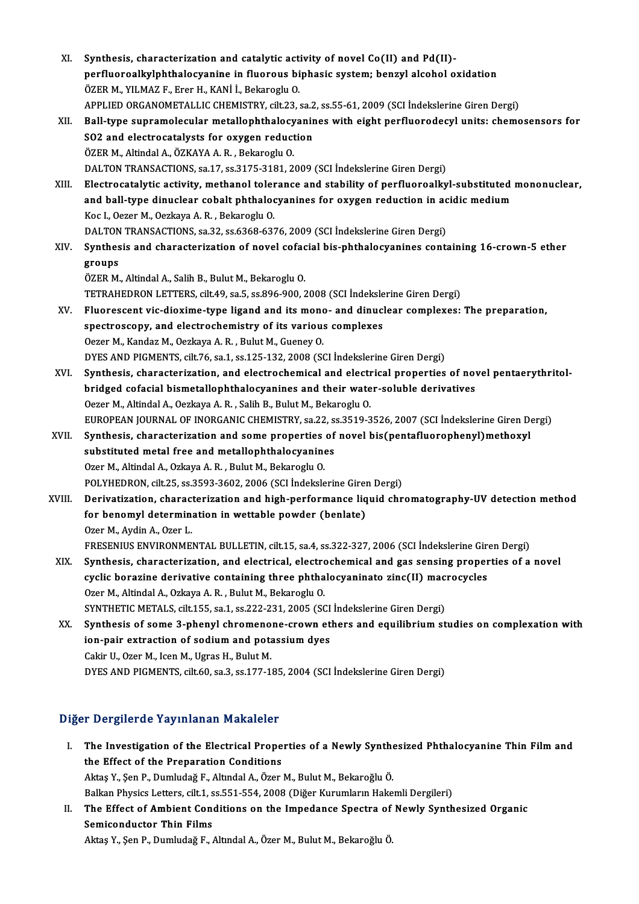| XI.    | Synthesis, characterization and catalytic activity of novel Co(II) and Pd(II)-                         |
|--------|--------------------------------------------------------------------------------------------------------|
|        | perfluoroalkylphthalocyanine in fluorous biphasic system; benzyl alcohol oxidation                     |
|        | ÖZER M., YILMAZ F., Erer H., KANİ İ., Bekaroglu O.                                                     |
|        | APPLIED ORGANOMETALLIC CHEMISTRY, cilt.23, sa.2, ss.55-61, 2009 (SCI İndekslerine Giren Dergi)         |
| XII.   | Ball-type supramolecular metallophthalocyanines with eight perfluorodecyl units: chemosensors for      |
|        | SO2 and electrocatalysts for oxygen reduction                                                          |
|        | ÖZER M., Altindal A., ÖZKAYA A. R., Bekaroglu O.                                                       |
|        | DALTON TRANSACTIONS, sa 17, ss.3175-3181, 2009 (SCI Indekslerine Giren Dergi)                          |
| XIII.  | Electrocatalytic activity, methanol tolerance and stability of perfluoroalkyl-substituted mononuclear, |
|        | and ball-type dinuclear cobalt phthalocyanines for oxygen reduction in acidic medium                   |
|        | Koc I., Oezer M., Oezkaya A. R., Bekaroglu O.                                                          |
|        | DALTON TRANSACTIONS, sa.32, ss.6368-6376, 2009 (SCI Indekslerine Giren Dergi)                          |
| XIV.   | Synthesis and characterization of novel cofacial bis-phthalocyanines containing 16-crown-5 ether       |
|        | groups                                                                                                 |
|        | ÖZER M., Altindal A., Salih B., Bulut M., Bekaroglu O.                                                 |
|        | TETRAHEDRON LETTERS, cilt.49, sa.5, ss.896-900, 2008 (SCI Indekslerine Giren Dergi)                    |
| XV.    | Fluorescent vic-dioxime-type ligand and its mono- and dinuclear complexes: The preparation,            |
|        | spectroscopy, and electrochemistry of its various complexes                                            |
|        | Oezer M., Kandaz M., Oezkaya A. R., Bulut M., Gueney O.                                                |
|        | DYES AND PIGMENTS, cilt.76, sa.1, ss.125-132, 2008 (SCI Indekslerine Giren Dergi)                      |
| XVI.   | Synthesis, characterization, and electrochemical and electrical properties of novel pentaerythritol-   |
|        | bridged cofacial bismetallophthalocyanines and their water-soluble derivatives                         |
|        | Oezer M., Altindal A., Oezkaya A. R., Salih B., Bulut M., Bekaroglu O.                                 |
|        | EUROPEAN JOURNAL OF INORGANIC CHEMISTRY, sa.22, ss.3519-3526, 2007 (SCI İndekslerine Giren Dergi)      |
| XVII.  | Synthesis, characterization and some properties of novel bis(pentafluorophenyl)methoxyl                |
|        | substituted metal free and metallophthalocyanines                                                      |
|        | Ozer M., Altindal A., Ozkaya A. R., Bulut M., Bekaroglu O.                                             |
|        | POLYHEDRON, cilt.25, ss.3593-3602, 2006 (SCI İndekslerine Giren Dergi)                                 |
| XVIII. | Derivatization, characterization and high-performance liquid chromatography-UV detection method        |
|        | for benomyl determination in wettable powder (benlate)                                                 |
|        | Ozer M., Aydin A., Ozer L.                                                                             |
|        | FRESENIUS ENVIRONMENTAL BULLETIN, cilt.15, sa.4, ss.322-327, 2006 (SCI Indekslerine Giren Dergi)       |
| XIX.   | Synthesis, characterization, and electrical, electrochemical and gas sensing properties of a novel     |
|        | cyclic borazine derivative containing three phthalocyaninato zinc(II) macrocycles                      |
|        | Ozer M., Altindal A., Ozkaya A. R., Bulut M., Bekaroglu O.                                             |
|        | SYNTHETIC METALS, cilt.155, sa.1, ss.222-231, 2005 (SCI Indekslerine Giren Dergi)                      |
| XX.    | Synthesis of some 3-phenyl chromenone-crown ethers and equilibrium studies on complexation with        |
|        | ion-pair extraction of sodium and potassium dyes                                                       |
|        | Cakir U., Ozer M., Icen M., Ugras H., Bulut M.                                                         |
|        | DYES AND PIGMENTS, cilt.60, sa.3, ss.177-185, 2004 (SCI İndekslerine Giren Dergi)                      |
|        |                                                                                                        |
|        |                                                                                                        |

# Diğer Dergilerde Yayınlanan Makaleler

- I. The Investigation of the Electrical Properties of a Newly Synthesized Phthalocyanine Thin Filmand the Effect of the Preparation Conditions Aktaş Y., Şen P., Dumludağ F., Altındal A., Özer M., Bulut M., Bekaroğlu Ö. Balkan Physics Letters, cilt.1, ss.551-554, 2008 (Diğer Kurumların Hakemli Dergileri) Aktaş Y., Şen P., Dumludağ F., Altındal A., Özer M., Bulut M., Bekaroğlu Ö.<br>Balkan Physics Letters, cilt.1, ss.551-554, 2008 (Diğer Kurumların Hakemli Dergileri)<br>II. The Effect of Ambient Conditions on the Impedance Sp
- Balkan Physics Letters, cilt.1, s<br>The Effect of Ambient Cone<br>Semiconductor Thin Films<br>Altes Y. San B. Dumludež E. The Effect of Ambient Conditions on the Impedance Spectra of<br>Semiconductor Thin Films<br>Aktaş Y., Şen P., Dumludağ F., Altındal A., Özer M., Bulut M., Bekaroğlu Ö.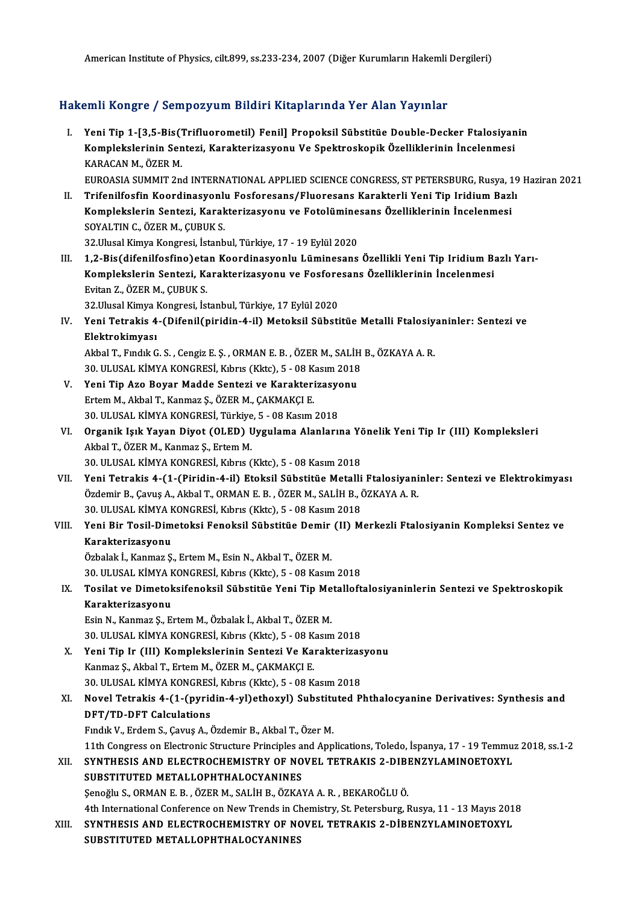American Institute of Physics, cilt.899, ss.233-234, 2007 (Diğer Kurumların Hakemli Dergileri)

# Hakemli Kongre / Sempozyum Bildiri Kitaplarında Yer Alan Yayınlar

akemli Kongre / Sempozyum Bildiri Kitaplarında Yer Alan Yayınlar<br>I. Yeni Tip 1-[3,5-Bis(Trifluorometil) Fenil] Propoksil Sübstitüe Double-Decker Ftalosiyanin<br>Komplekslarinin Santari, Karaktarizasyanı Ve Spektraskanik Özell XIIII IRSEND JOSINGSIJ UM STUTTI INCEPUTINUM TOTINUM TUJINU.<br>Komplekslerinin Sentezi, Karakterizasyonu Ve Spektroskopik Özelliklerinin İncelenmesi<br>KARACAN M. ÖZER M Yeni Tip 1-[3,5-Bis("<br>Komplekslerinin Sen<br>KARACAN M., ÖZER M.<br>EUBOASIA SUMMIT 2n Komplekslerinin Sentezi, Karakterizasyonu Ve Spektroskopik Özelliklerinin İncelenmesi<br>KARACAN M., ÖZER M.<br>EUROASIA SUMMIT 2nd INTERNATIONAL APPLIED SCIENCE CONGRESS, ST PETERSBURG, Rusya, 19 Haziran 2021<br>Trifonilfosfin Koo KARACAN M., ÖZER M.<br>EUROASIA SUMMIT 2nd INTERNATIONAL APPLIED SCIENCE CONGRESS, ST PETERSBURG, Rusya, 19<br>II. Trifenilfosfin Koordinasyonlu Fosforesans/Fluoresans Karakterli Yeni Tip Iridium Bazlı<br>Komplekslerin Senteri, Kar EUROASIA SUMMIT 2nd INTERNATIONAL APPLIED SCIENCE CONGRESS, ST PETERSBURG, Rusya, 1<br>Trifenilfosfin Koordinasyonlu Fosforesans/Fluoresans Karakterli Yeni Tip Iridium Bazl<br>Komplekslerin Sentezi, Karakterizasyonu ve Fotolümin Trifenilfosfin Koordinasyonlu<br>Komplekslerin Sentezi, Karak<br>SOYALTIN C., ÖZER M., ÇUBUK S.<br>22 Hlusel Kimus Kongresi, İstanb Komplekslerin Sentezi, Karakterizasyonu ve Fotolümine<br>SOYALTIN C., ÖZER M., ÇUBUK S.<br>32.Ulusal Kimya Kongresi, İstanbul, Türkiye, 17 - 19 Eylül 2020<br>1.2. Bis(difanilfəsfinə)ətən Koordinasyonlu Lüminesənə SOYALTIN C., ÖZER M., ÇUBUK S.<br>32.Ulusal Kimya Kongresi, İstanbul, Türkiye, 17 - 19 Eylül 2020<br>III. 1,2-Bis(difenilfosfino)etan Koordinasyonlu Lüminesans Özellikli Yeni Tip Iridium Bazlı Yarı-<br>Komplekslerin Senteri, Kanakt 32.Ulusal Kimya Kongresi, İstanbul, Türkiye, 17 - 19 Eylül 2020<br>1,2-Bis(difenilfosfino)etan Koordinasyonlu Lüminesans Özellikli Yeni Tip Iridium Ba<br>Komplekslerin Sentezi, Karakterizasyonu ve Fosforesans Özelliklerinin İnce 1,2-Bis(difenilfosfino)eta<br>Komplekslerin Sentezi, Ka<br>Evitan Z., ÖZER M., ÇUBUK S.<br>22 Ulucel Kimus Kongresi, İst Komplekslerin Sentezi, Karakterizasyonu ve Fosforesans Özelliklerinin İncelenmesi<br>Evitan Z., ÖZER M., ÇUBUK S.<br>32.Ulusal Kimya Kongresi, İstanbul, Türkiye, 17 Eylül 2020 Evitan Z., ÖZER M., ÇUBUK S.<br>32.Ulusal Kimya Kongresi, İstanbul, Türkiye, 17 Eylül 2020<br>IV. Yeni Tetrakis 4-(Difenil(piridin-4-il) Metoksil Sübstitüe Metalli Ftalosiyaninler: Sentezi ve<br>Elektrakimyesi 32.Ulusal Kimya I<br>Yeni Tetrakis 4<br>Elektrokimyası<br>Althal T. Endik C Yeni Tetrakis 4-(Difenil(piridin-4-il) Metoksil Sübstitüe Metalli Ftalosiy<br>Elektrokimyası<br>Akbal T., Fındık G. S. , Cengiz E. Ş. , ORMAN E. B. , ÖZER M., SALİH B., ÖZKAYA A. R.<br>20 ULUSAL KİMYA KONCRESİ Kıbrıs (Klts), 5 , 08 Elektrokimyası<br>Akbal T., Fındık G. S. , Cengiz E. Ş. , ORMAN E. B. , ÖZER M., SALİH B., ÖZKAYA A. R. Akbal T., Fındık G. S., Cengiz E. Ş., ORMAN E. B., ÖZER M., SALİH<br>30. ULUSAL KİMYA KONGRESİ, Kıbrıs (Kktc), 5 - 08 Kasım 2018<br>V. Yeni Tip Azo Boyar Madde Sentezi ve Karakterizasyonu<br>Frtom M. Akbal T. Kanmaz S. ÖZER M. CAKM 30. ULUSAL KİMYA KONGRESİ, Kıbrıs (Kktc), 5 - 08 Kasım 2018<br>Yeni Tip Azo Boyar Madde Sentezi ve Karakterizasyonu<br>Ertem M., Akbal T., Kanmaz Ş., ÖZER M., ÇAKMAKÇI E.<br>30. ULUSAL KİMYA KONGRESİ, Türkiye, 5 - 08 Kasım 2018 Yeni Tip Azo Boyar Madde Sentezi ve Karakterizasyo<br>Ertem M., Akbal T., Kanmaz Ş., ÖZER M., ÇAKMAKÇI E.<br>30. ULUSAL KİMYA KONGRESİ, Türkiye, 5 - 08 Kasım 2018<br>Organik Jalk Yayan Diyet (OLED) Uygulama Alanlarıı Ertem M., Akbal T., Kanmaz Ş., ÖZER M., ÇAKMAKÇI E.<br>30. ULUSAL KİMYA KONGRESİ, Türkiye, 5 - 08 Kasım 2018<br>VI. Organik Işık Yayan Diyot (OLED) Uygulama Alanlarına Yönelik Yeni Tip Ir (III) Kompleksleri<br>Althal T. ÖZER M. 30. ULUSAL KİMYA KONGRESİ, Türkiye<br>Organik Işık Yayan Diyot (OLED) l<br>Akbal T., ÖZER M., Kanmaz Ş., Ertem M.<br>20. ULUSAL KİMYA KONGRESİ, Kıbrıs ( Organik Işık Yayan Diyot (OLED) Uygulama Alanlarına Yö<br>Akbal T., ÖZER M., Kanmaz Ş., Ertem M.<br>30. ULUSAL KİMYA KONGRESİ, Kıbrıs (Kktc), 5 - 08 Kasım 2018<br>Yoni Tetrakis 4 (1. (Biridin 4. il) Etaksil Sühetitüs Metalli Akbal T., ÖZER M., Kanmaz Ş., Ertem M.<br>30. ULUSAL KİMYA KONGRESİ, Kıbrıs (Kktc), 5 - 08 Kasım 2018<br>VII. Yeni Tetrakis 4-(1-(Piridin-4-il) Etoksil Sübstitüe Metalli Ftalosiyaninler: Sentezi ve Elektrokimyası Özdemir B., Çavuş A., Akbal T., ORMAN E. B., ÖZER M., SALİH B., ÖZKAYA A. R. Yeni Tetrakis 4-(1-(Piridin-4-il) Etoksil Sübstitüe Metalli<br>Özdemir B., Çavuş A., Akbal T., ORMAN E. B. , ÖZER M., SALİH B., Ö<br>30. ULUSAL KİMYA KONGRESİ, Kıbrıs (Kktc), 5 - 08 Kasım 2018<br>Yani Bir Tasil Dimataksi Fanaksil S Özdemir B., Çavuş A., Akbal T., ORMAN E. B. , ÖZER M., SALİH B., ÖZKAYA A. R.<br>30. ULUSAL KİMYA KONGRESİ, Kıbrıs (Kktc), 5 - 08 Kasım 2018<br>VIII. Yeni Bir Tosil-Dimetoksi Fenoksil Sübstitüe Demir (II) Merkezli Ftalosiyan 30. ULUSAL KİMYA F<br>Yeni Bir Tosil-Dim<br>Karakterizasyonu<br>Özbelek İ. Kenmer S Yeni Bir Tosil-Dimetoksi Fenoksil Sübstitüe Demir<br>Karakterizasyonu<br>Özbalak İ., Kanmaz Ş., Ertem M., Esin N., Akbal T., ÖZER M.<br>20. ULUSAL KİMYA KONGBESİ Kıbrıs (Klita), E., 08 Kasım Karakterizasyonu<br>Özbalak İ., Kanmaz Ş., Ertem M., Esin N., Akbal T., ÖZER M.<br>30. ULUSAL KİMYA KONGRESİ, Kıbrıs (Kktc), 5 - 08 Kasım 2018 Özbalak İ., Kanmaz Ş., Ertem M., Esin N., Akbal T., ÖZER M.<br>30. ULUSAL KİMYA KONGRESİ, Kıbrıs (Kktc), 5 - 08 Kasım 2018<br>IX. Tosilat ve Dimetoksifenoksil Sübstitüe Yeni Tip Metalloftalosiyaninlerin Sentezi ve Spektrosko 30. ULUSAL KİMYA F<br>Tosilat ve Dimetok<br>Karakterizasyonu<br>Fsin N. Kanmaz S. Es Tosilat ve Dimetoksifenoksil Sübstitüe Yeni Tip Me<br>Karakterizasyonu<br>Esin N., Kanmaz Ş., Ertem M., Özbalak İ., Akbal T., ÖZER M.<br>20 ULUSAL KİMYA KONGRESİ Kıbrıs (Klts), E., 09 Kasım Karakterizasyonu<br>Esin N., Kanmaz Ş., Ertem M., Özbalak İ., Akbal T., ÖZER M.<br>30. ULUSAL KİMYA KONGRESİ, Kıbrıs (Kktc), 5 - 08 Kasım 2018 Esin N., Kanmaz Ş., Ertem M., Özbalak İ., Akbal T., ÖZER M.<br>30. ULUSAL KİMYA KONGRESİ, Kıbrıs (Kktc), 5 - 08 Kasım 2018<br>X. Yeni Tip Ir (III) Komplekslerinin Sentezi Ve Karakterizasyonu<br>Kanmaz S. Akbal T. Ertem M. ÖZER M. C 30. ULUSAL KİMYA KONGRESİ, Kıbrıs (Kktc), 5 - 08 K.<br>Yeni Tip Ir (III) Komplekslerinin Sentezi Ve Kaı<br>Kanmaz Ş., Akbal T., Ertem M., ÖZER M., ÇAKMAKÇI E.<br>20 ULUSAL KİMYA KONGRESİ Kıbrıs (Klts), 5 - 08 K. Yeni Tip Ir (III) Komplekslerinin Sentezi Ve Karakterizas<br>Kanmaz Ş., Akbal T., Ertem M., ÖZER M., ÇAKMAKÇI E.<br>30. ULUSAL KİMYA KONGRESİ, Kıbrıs (Kktc), 5 - 08 Kasım 2018<br>Navel Tetrekis 4, (1. (nuridin 4 ul)ethewul) Substit Kanmaz Ş., Akbal T., Ertem M., ÖZER M., ÇAKMAKÇI E.<br>30. ULUSAL KİMYA KONGRESİ, Kıbrıs (Kktc), 5 - 08 Kasım 2018<br>XI. Novel Tetrakis 4-(1-(pyridin-4-yl)ethoxyl) Substituted Phthalocyanine Derivatives: Synthesis and<br>DET/T 30. ULUSAL KİMYA KONGRES<br>Novel Tetrakis 4-(1-(pyrid<br>DFT/TD-DFT Calculations<br>Endik V. Erdem S. Cauus A. ( Novel Tetrakis 4-(1-(pyridin-4-yl)ethoxyl) Substitu<br>DFT/TD-DFT Calculations<br>Fındık V., Erdem S., Çavuş A., Özdemir B., Akbal T., Özer M.<br>11th Congress en Elestronis Structure Principles and Ann DFT/TD-DFT Calculations<br>Findik V., Erdem S., Çavuş A., Özdemir B., Akbal T., Özer M.<br>11th Congress on Electronic Structure Principles and Applications, Toledo, İspanya, 17 - 19 Temmuz 2018, ss.1-2<br>SYNTUESIS AND ELECTROCHEM Fındık V., Erdem S., Çavuş A., Özdemir B., Akbal T., Özer M.<br>11th Congress on Electronic Structure Principles and Applications, Toledo, İspanya, 17 - 19 Temmu:<br>XII. SYNTHESIS AND ELECTROCHEMISTRY OF NOVEL TETRAKIS 2-DIBENZ 11th Congress on Electronic Structure Principles at<br>SYNTHESIS AND ELECTROCHEMISTRY OF NO<br>SUBSTITUTED METALLOPHTHALOCYANINES XII. SYNTHESIS AND ELECTROCHEMISTRY OF NOVEL TETRAKIS 2-DIBENZYLAMINOETOXYL<br>SUBSTITUTED METALLOPHTHALOCYANINES<br>Şenoğlu S., ORMAN E. B., ÖZER M., SALİH B., ÖZKAYA A. R., BEKAROĞLU Ö. SUBSTITUTED METALLOPHTHALOCYANINES<br>Şenoğlu S., ORMAN E. B. , ÖZER M., SALİH B., ÖZKAYA A. R. , BEKAROĞLU Ö.<br>4th International Conference on New Trends in Chemistry, St. Petersburg, Rusya, 11 - 13 Mayıs 2018<br>SYNTUESIS AND E Senoğlu S., ORMAN E. B. , ÖZER M., SALİH B., ÖZKAYA A. R. , BEKAROĞLU Ö.<br>4th International Conference on New Trends in Chemistry, St. Petersburg, Rusya, 11 - 13 Mayıs 201<br>8YNTHESIS AND ELECTROCHEMISTRY OF NOVEL TETRAKIS 2-4th International Conference on New Trends in Cl<br>SYNTHESIS AND ELECTROCHEMISTRY OF NO<br>SUBSTITUTED METALLOPHTHALOCYANINES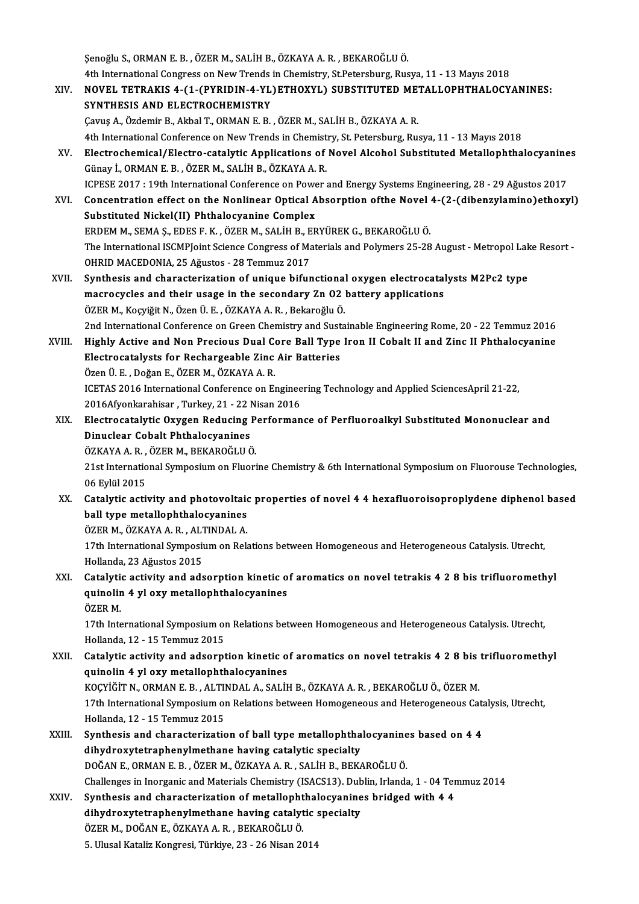Şenoğlu S.,ORMANE.B. ,ÖZERM.,SALİHB.,ÖZKAYAA.R. ,BEKAROĞLUÖ. Senoğlu S., ORMAN E. B. , ÖZER M., SALİH B., ÖZKAYA A. R. , BEKAROĞLU Ö.<br>4th International Congress on New Trends in Chemistry, St.Petersburg, Rusya, 11 - 13 Mayıs 2018<br>NOVEL TETRAKIS 4, (1 (PYRIDIN 4 YI )ETHOYYI ) SUBSTIT

- Senoğlu S., ORMAN E. B. , ÖZER M., SALİH B., ÖZKAYA A. R. , BEKAROĞLU Ö.<br>4th International Congress on New Trends in Chemistry, St.Petersburg, Rusya, 11 13 Mayıs 2018<br>XIV. NOVEL TETRAKIS 4-(1-(PYRIDIN-4-YL)ETHOXYL) S 4th International Congress on New Trends<br>NOVEL TETRAKIS 4-(1-(PYRIDIN-4-YL)<br>SYNTHESIS AND ELECTROCHEMISTRY NOVEL TETRAKIS 4-(1-(PYRIDIN-4-YL)ETHOXYL) SUBSTITUTED ME'<br>SYNTHESIS AND ELECTROCHEMISTRY<br>Çavuş A., Özdemir B., Akbal T., ORMAN E. B. , ÖZER M., SALİH B., ÖZKAYA A. R.<br>4th International Conference on Now Tronds in Chomistr 5YNTHESIS AND ELECTROCHEMISTRY<br>Cavuş A., Özdemir B., Akbal T., ORMAN E. B. , ÖZER M., SALİH B., ÖZKAYA A. R.<br>4th International Conference on New Trends in Chemistry, St. Petersburg, Rusya, 11 - 13 Mayıs 2018 Cavuş A., Özdemir B., Akbal T., ORMAN E. B. , ÖZER M., SALİH B., ÖZKAYA A. R.<br>4th International Conference on New Trends in Chemistry, St. Petersburg, Rusya, 11 - 13 Mayıs 2018<br>XV. Electrochemical/Electro-catalytic Applica
- 4th International Conference on New Trends in Chemist<br>Electrochemical/Electro-catalytic Applications of<br>Günay İ., ORMAN E. B. , ÖZER M., SALİH B., ÖZKAYA A. R.<br>ICRESE 2017 : 19th International Conference on Bourg r Electrochemical/Electro-catalytic Applications of Novel Alcohol Substituted Metallophthalocyanine<br>Günay İ., ORMAN E. B. , ÖZER M., SALİH B., ÖZKAYA A. R.<br>ICPESE 2017 : 19th International Conference on Power and Energy Syst Günay İ., ORMAN E. B. , ÖZER M., SALİH B., ÖZKAYA A. R.<br>ICPESE 2017 : 19th International Conference on Power and Energy Systems Engineering, 28 - 29 Ağustos 2017<br>XVI. Concentration effect on the Nonlinear Optical Absorptio
- ICPESE 2017 : 19th International Conference on Powe<br>Concentration effect on the Nonlinear Optical A<br>Substituted Nickel(II) Phthalocyanine Complex<br>FRDEM M. SEMA S. FDES E. K., ÖZER M. SALİU B. FR Concentration effect on the Nonlinear Optical Absorption ofthe Novel<br>Substituted Nickel(II) Phthalocyanine Complex<br>ERDEM M., SEMA Ş., EDES F. K. , ÖZER M., SALİH B., ERYÜREK G., BEKAROĞLU Ö.<br>The International ISCMBLeint Sc Substituted Nickel(II) Phthalocyanine Complex<br>ERDEM M., SEMA Ş., EDES F. K. , ÖZER M., SALİH B., ERYÜREK G., BEKAROĞLU Ö.<br>The International ISCMPJoint Science Congress of Materials and Polymers 25-28 August - Metropol Lake OHRID MACEDONIA, 25 Ağustos - 28 Temmuz 2017 The International ISCMPJoint Science Congress of Materials and Polymers 25-28 August - Metropol Lak<br>OHRID MACEDONIA, 25 Ağustos - 28 Temmuz 2017<br>XVII. Synthesis and characterization of unique bifunctional oxygen electrocat
- OHRID MACEDONIA, 25 Ağustos 28 Temmuz 2017<br>Synthesis and characterization of unique bifunctional oxygen electrocatal<br>macrocycles and their usage in the secondary Zn O2 battery applications<br>ÖZEP M. Koguižit N. ÖZEP Ü. E. Synthesis and characterization of unique bifunctional<br>macrocycles and their usage in the secondary Zn O2<br>ÖZER M., Koçyiğit N., Özen Ü. E. , ÖZKAYA A. R. , Bekaroğlu Ö.<br>2nd International Conference on Creen Chemistry and Su macrocycles and their usage in the secondary Zn O2 battery applications<br>ÖZER M., Koçyiğit N., Özen Ü. E. , ÖZKAYA A. R. , Bekaroğlu Ö.<br>2nd International Conference on Green Chemistry and Sustainable Engineering Rome, 20 - ÖZER M., Koçyiğit N., Özen Ü. E. , ÖZKAYA A. R. , Bekaroğlu Ö.<br>2nd International Conference on Green Chemistry and Sustainable Engineering Rome, 20 - 22 Temmuz 2016<br>2011. Highly Active and Non Precious Dual Core Ball Type
- 2nd International Conference on Green Chemistry and Sust<br>Highly Active and Non Precious Dual Core Ball Type<br>Electrocatalysts for Rechargeable Zinc Air Batteries Highly Active and Non Precious Dual Conditional Conditional Conditional Conditional Conditional Conditional Conditional Conditional Conditional Conditional Conditional Conditional Conditional Conditional Conditional Condit Electrocatalysts for Rechargeable Zinc Air Batteries<br>Özen Ü. E. , Doğan E., ÖZER M., ÖZKAYA A. R.<br>ICETAS 2016 International Conference on Engineering Technology and Applied SciencesApril 21-22,<br>2016Afyonkarabisar, Turkey, Özen Ü. E. , Doğan E., ÖZER M., ÖZKAYA A. R.<br>ICETAS 2016 International Conference on Enginee<br>2016Afyonkarahisar , Turkey, 21 - 22 Nisan 2016<br>Elestrosatalytis Oxygan Bodusing Borforman ICETAS 2016 International Conference on Engineering Technology and Applied SciencesApril 21-22,<br>2016Afyonkarahisar , Turkey, 21 - 22 Nisan 2016<br>XIX. Electrocatalytic Oxygen Reducing Performance of Perfluoroalkyl Substitute
- 2016Afyonkarahisar, Turkey, 21 22 I<br>Electrocatalytic Oxygen Reducing<br>Dinuclear Cobalt Phthalocyanines<br>ÖZKAVA A P. ÖZER M. REKAROČLUČ Electrocatalytic Oxygen Reducing P<br>Dinuclear Cobalt Phthalocyanines<br>ÖZKAYA A. R. , ÖZER M., BEKAROĞLU Ö.<br>21st International Sumnosium en Elueri Dinuclear Cobalt Phthalocyanines<br>ÖZKAYA A. R. , ÖZER M., BEKAROĞLU Ö.<br>21st International Symposium on Fluorine Chemistry & 6th International Symposium on Fluorouse Technologies,<br>06 Eylül 2015 ÖZKAYA A R , ÖZER M , BEKAROĞLU Ö. 21st International Symposium on Fluorine Chemistry & 6th International Symposium on Fluorouse Technologies,<br>06 Eylül 2015<br>XX. Catalytic activity and photovoltaic properties of novel 4 4 hexafluoroisoproplydene diphenol bas
- 06 Eylül 2015<br>Catalytic activity and photovoltaid<br>ball type metallophthalocyanines<br>ÖZEP M. ÖZKAYA A P. ALTINDALA Catalytic activity and photovoltaio<br>ball type metallophthalocyanines<br>ÖZER M., ÖZKAYA A. R. , ALTINDAL A.<br>17th International Sumnesium on Pek

ball type metallophthalocyanines<br>ÖZER M., ÖZKAYA A. R. , ALTINDAL A.<br>17th International Symposium on Relations between Homogeneous and Heterogeneous Catalysis. Utrecht,<br>Hallanda 22 Ağustes 2015 ÖZER M., ÖZKAYA A. R. , ALT<br>17th International Symposit<br>Hollanda, 23 Ağustos 2015<br>Catalutia activity and ada 17th International Symposium on Relations between Homogeneous and Heterogeneous Catalysis. Utrecht,<br>Hollanda, 23 Ağustos 2015<br>XXI. Catalytic activity and adsorption kinetic of aromatics on novel tetrakis 4 2 8 bis trifluor

Hollanda, 23 Ağustos 2015<br>Catalytic activity and adsorption kinetic o<br>quinolin 4 yl oxy metallophthalocyanines<br>ÖZEP M Catalyti<br>quinolir<br>ÖZER M.<br>17th Inte quinolin 4 yl oxy metallophthalocyanines<br>ÖZER M.<br>17th International Symposium on Relations between Homogeneous and Heterogeneous Catalysis. Utrecht,<br>Hollanda 12, 15 Tommuz 2015

ÖZER M.<br>17th International Symposium of<br>Hollanda, 12 - 15 Temmuz 2015<br>Catalutic activity and adsornt 17th International Symposium on Relations between Homogeneous and Heterogeneous Catalysis. Utrecht,<br>Hollanda, 12 - 15 Temmuz 2015<br>XXII. Catalytic activity and adsorption kinetic of aromatics on novel tetrakis 4 2 8 bis tri

Hollanda, 12 - 15 Temmuz 2015<br>Catalytic activity and adsorption kinetic o<br>quinolin 4 yl oxy metallophthalocyanines<br>KOCYİĞİT N. OPMAN E P. ALTINDAL A. SALİL Catalytic activity and adsorption kinetic of aromatics on novel tetrakis 4 2 8 bis<br>quinolin 4 yl oxy metallophthalocyanines<br>KOÇYİĞİT N., ORMAN E.B. , ALTINDAL A., SALİH B., ÖZKAYA A. R. , BEKAROĞLU Ö., ÖZER M.<br>17th Interna quinolin 4 yl oxy metallophthalocyanines<br>KOÇYİĞİT N., ORMAN E. B. , ALTINDAL A., SALİH B., ÖZKAYA A. R. , BEKAROĞLU Ö., ÖZER M.<br>17th International Symposium on Relations between Homogeneous and Heterogeneous Catalysis, Utr KOÇYİĞİT N., ORMAN E. B. , ALTII<br>17th International Symposium or<br>Hollanda, 12 - 15 Temmuz 2015<br>Synthosis and sharastarizatis 17th International Symposium on Relations between Homogeneous and Heterogeneous Cata<br>Hollanda, 12 - 15 Temmuz 2015<br>XXIII. Synthesis and characterization of ball type metallophthalocyanines based on 4 4<br>Aibydnewytetrephenyl

- Hollanda, 12 15 Temmuz 2015<br>Synthesis and characterization of ball type metallophtha<br>dihydroxytetraphenylmethane having catalytic specialty<br>DOČAN E. OPMAN E. P., ÖZEP M. ÖZKAYA A. P., SALİH P. PEK/ Synthesis and characterization of ball type metallophthalocyanine<br>dihydroxytetraphenylmethane having catalytic specialty<br>DOĞAN E., ORMAN E.B., ÖZER M., ÖZKAYA A.R., SALİH B., BEKAROĞLU Ö.<br>Challanges in Inorganis and Materi dihydroxytetraphenylmethane having catalytic specialty<br>DOĞAN E., ORMAN E. B. , ÖZER M., ÖZKAYA A. R. , SALİH B., BEKAROĞLU Ö.<br>Challenges in Inorganic and Materials Chemistry (ISACS13). Dublin, Irlanda, 1 - 04 Temmuz 2014<br>S DOĞAN E., ORMAN E. B., ÖZER M., ÖZKAYA A. R., SALİH B., BEKAROĞLU Ö.<br>Challenges in Inorganic and Materials Chemistry (ISACS13). Dublin, Irlanda, 1 - 04 Ter<br>XXIV. Synthesis and characterization of metallophthalocyanines bri
- Challenges in Inorganic and Materials Chemistry (ISACS13). Dub<br>Synthesis and characterization of metallophthalocyanine<br>dihydroxytetraphenylmethane having catalytic specialty<br>ÖZEP M. DOČAN E. ÖZKAYA A. B. PEKAROČLUÖ Synthesis and characterization of metallophthalocyanines bridged with 4 4 dihydroxytetraphenylmethane having catalytic specialty<br>ÖZER M., DOĞAN E., ÖZKAYA A. R., BEKAROĞLU Ö. 5. Ulusal Kataliz Kongresi, Türkiye, 23 - 26 Nisan 2014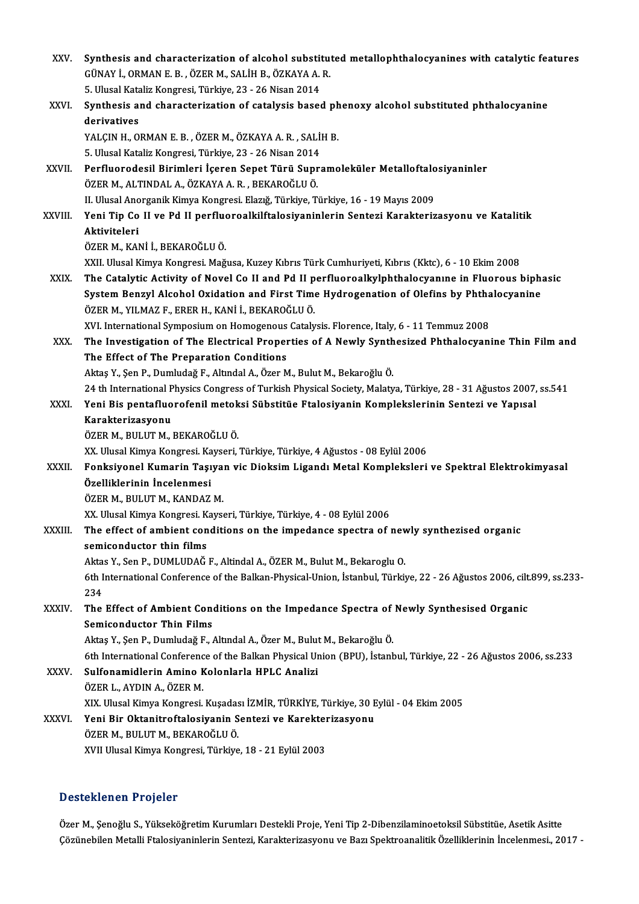| XXV.    | Synthesis and characterization of alcohol substituted metallophthalocyanines with catalytic features                                           |
|---------|------------------------------------------------------------------------------------------------------------------------------------------------|
|         | GÜNAY İ., ORMAN E. B. , ÖZER M., SALİH B., ÖZKAYA A. R.                                                                                        |
|         | 5. Ulusal Kataliz Kongresi, Türkiye, 23 - 26 Nisan 2014                                                                                        |
| XXVI.   | Synthesis and characterization of catalysis based phenoxy alcohol substituted phthalocyanine                                                   |
|         | derivatives                                                                                                                                    |
|         | YALÇIN H., ORMAN E. B., ÖZER M., ÖZKAYA A. R., SALİH B.                                                                                        |
|         | 5. Ulusal Kataliz Kongresi, Türkiye, 23 - 26 Nisan 2014                                                                                        |
| XXVII.  | Perfluorodesil Birimleri İçeren Sepet Türü Supramoleküler Metalloftalosiyaninler                                                               |
|         | ÖZER M., ALTINDAL A., ÖZKAYA A. R. , BEKAROĞLU Ö.                                                                                              |
|         | II. Ulusal Anorganik Kimya Kongresi. Elazığ, Türkiye, Türkiye, 16 - 19 Mayıs 2009                                                              |
| XXVIII. | Yeni Tip Co II ve Pd II perfluoroalkilftalosiyaninlerin Sentezi Karakterizasyonu ve Katalitik<br>Aktiviteleri                                  |
|         |                                                                                                                                                |
|         | ÖZER M., KANİ İ., BEKAROĞLU Ö.                                                                                                                 |
|         | XXII. Ulusal Kimya Kongresi. Mağusa, Kuzey Kıbrıs Türk Cumhuriyeti, Kıbrıs (Kktc), 6 - 10 Ekim 2008                                            |
| XXIX.   | The Catalytic Activity of Novel Co II and Pd II perfluoroalkylphthalocyanine in Fluorous biphasic                                              |
|         | System Benzyl Alcohol Oxidation and First Time Hydrogenation of Olefins by Phthalocyanine                                                      |
|         | ÖZER M., YILMAZ F., ERER H., KANİ İ., BEKAROĞLU Ö.                                                                                             |
| XXX.    | XVI. International Symposium on Homogenous Catalysis. Florence, Italy, 6 - 11 Temmuz 2008                                                      |
|         | The Investigation of The Electrical Properties of A Newly Synthesized Phthalocyanine Thin Film and<br>The Effect of The Preparation Conditions |
|         | Aktaş Y., Şen P., Dumludağ F., Altındal A., Özer M., Bulut M., Bekaroğlu Ö.                                                                    |
|         | 24 th International Physics Congress of Turkish Physical Society, Malatya, Türkiye, 28 - 31 Ağustos 2007, ss.541                               |
| XXXI.   | Yeni Bis pentafluorofenil metoksi Sübstitüe Ftalosiyanin Komplekslerinin Sentezi ve Yapısal                                                    |
|         | Karakterizasyonu                                                                                                                               |
|         | ÖZER M., BULUT M., BEKAROĞLU Ö.                                                                                                                |
|         | XX. Ulusal Kimya Kongresi. Kayseri, Türkiye, Türkiye, 4 Ağustos - 08 Eylül 2006                                                                |
| XXXII.  | Fonksiyonel Kumarin Taşıyan vic Dioksim Ligandı Metal Kompleksleri ve Spektral Elektrokimyasal                                                 |
|         | Özelliklerinin İncelenmesi                                                                                                                     |
|         | ÖZER M. BULUT M. KANDAZ M.                                                                                                                     |
|         | XX. Ulusal Kimya Kongresi. Kayseri, Türkiye, Türkiye, 4 - 08 Eylül 2006                                                                        |
| XXXIII. | The effect of ambient conditions on the impedance spectra of newly synthezised organic                                                         |
|         | semiconductor thin films                                                                                                                       |
|         | Aktas Y., Sen P., DUMLUDAĞ F., Altindal A., ÖZER M., Bulut M., Bekaroglu O.                                                                    |
|         | 6th International Conference of the Balkan-Physical-Union, İstanbul, Türkiye, 22 - 26 Ağustos 2006, cilt.899, ss.233-                          |
|         | 234                                                                                                                                            |
| XXXIV   | The Effect of Ambient Conditions on the Impedance Spectra of Newly Synthesised Organic                                                         |
|         | <b>Semiconductor Thin Films</b>                                                                                                                |
|         | Aktaş Y., Şen P., Dumludağ F., Altındal A., Özer M., Bulut M., Bekaroğlu Ö.                                                                    |
|         | 6th International Conference of the Balkan Physical Union (BPU), İstanbul, Türkiye, 22 - 26 Ağustos 2006, ss.233                               |
| XXXV.   | Sulfonamidlerin Amino Kolonlarla HPLC Analizi                                                                                                  |
|         | ÖZER L., AYDIN A., ÖZER M.                                                                                                                     |
|         | XIX. Ulusal Kimya Kongresi. Kuşadası İZMİR, TÜRKİYE, Türkiye, 30 Eylül - 04 Ekim 2005                                                          |
| XXXVI.  | Yeni Bir Oktanitroftalosiyanin Sentezi ve Karekterizasyonu                                                                                     |
|         | ÖZER M., BULUT M., BEKAROĞLU Ö.                                                                                                                |
|         | XVII Ulusal Kimya Kongresi, Türkiye, 18 - 21 Eylül 2003                                                                                        |
|         |                                                                                                                                                |

# Desteklenen Projeler

Özer M., Şenoğlu S., Yükseköğretim Kurumları Destekli Proje, Yeni Tip 2-Dibenzilaminoetoksil Sübstitüe, Asetik Asitte Çözünebilen Metalli Ftalosiyaninlerin Sentezi, Karakterizasyonu ve Bazı Spektroanalitik Özelliklerinin İncelenmesi., 2017 -